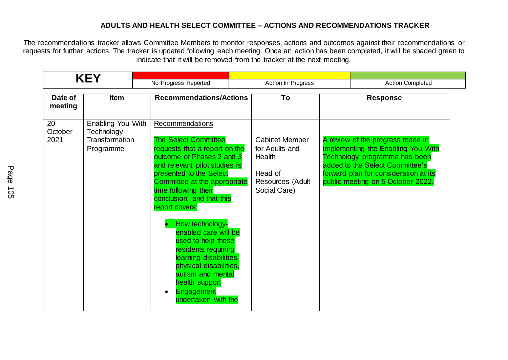## **ADULTS AND HEALTH SELECT COMMITTEE – ACTIONS AND RECOMMENDATIONS TRACKER**

The recommendations tracker allows Committee Members to monitor responses, actions and outcomes against their recommendations or requests for further actions. The tracker is updated following each meeting. Once an action has been completed, it will be shaded green to indicate that it will be removed from the tracker at the next meeting.

|                       | <b>KEY</b>                                                     |                                                                                                                                                                                                                                                                                                                                                                                                                                                                                                         |                                                                                                  |                                                                                                                                                                                                                          |
|-----------------------|----------------------------------------------------------------|---------------------------------------------------------------------------------------------------------------------------------------------------------------------------------------------------------------------------------------------------------------------------------------------------------------------------------------------------------------------------------------------------------------------------------------------------------------------------------------------------------|--------------------------------------------------------------------------------------------------|--------------------------------------------------------------------------------------------------------------------------------------------------------------------------------------------------------------------------|
|                       |                                                                | No Progress Reported                                                                                                                                                                                                                                                                                                                                                                                                                                                                                    | Action In Progress                                                                               | <b>Action Completed</b>                                                                                                                                                                                                  |
| Date of<br>meeting    | <b>Item</b>                                                    | <b>Recommendations/Actions</b>                                                                                                                                                                                                                                                                                                                                                                                                                                                                          | To                                                                                               | <b>Response</b>                                                                                                                                                                                                          |
| 20<br>October<br>2021 | Enabling You With<br>Technology<br>Transformation<br>Programme | Recommendations<br><b>The Select Committee</b><br>requests that a report on the<br>outcome of Phases 2 and 3<br>and relevant pilot studies is<br>presented to the Select<br>Committee at the appropriate<br>time following their<br>conclusion, and that this<br>report covers:<br>How technology-<br>enabled care will be<br>used to help those<br>residents requiring<br>learning disabilities,<br>physical disabilities,<br>autism and mental<br>health support<br>Engagement<br>undertaken with the | <b>Cabinet Member</b><br>for Adults and<br>Health<br>Head of<br>Resources (Adult<br>Social Care) | A review of the progress made in<br>implementing the Enabling You With<br>Technology programme has been<br>added to the Select Committee's<br>forward plan for consideration at its<br>public meeting on 5 October 2022. |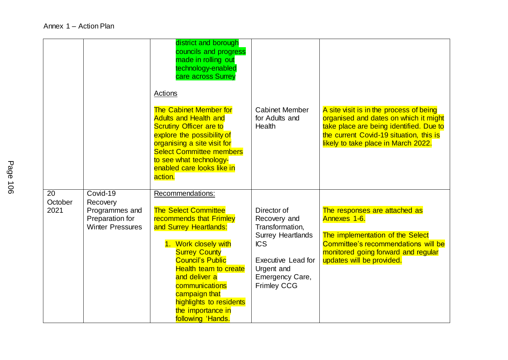|                       |                                                                                      | district and borough<br>councils and progress<br>made in rolling out<br>technology-enabled<br>care across Surrey<br>Actions<br><b>The Cabinet Member for</b><br><b>Adults and Health and</b><br><b>Scrutiny Officer are to</b><br>explore the possibility of<br>organising a site visit for<br><b>Select Committee members</b><br>to see what technology-<br>enabled care looks like in<br>action. | <b>Cabinet Member</b><br>for Adults and<br>Health                                                                                                                            | A site visit is in the process of being<br>organised and dates on which it might<br>take place are being identified. Due to<br>the current Covid-19 situation, this is<br>likely to take place in March 2022. |
|-----------------------|--------------------------------------------------------------------------------------|----------------------------------------------------------------------------------------------------------------------------------------------------------------------------------------------------------------------------------------------------------------------------------------------------------------------------------------------------------------------------------------------------|------------------------------------------------------------------------------------------------------------------------------------------------------------------------------|---------------------------------------------------------------------------------------------------------------------------------------------------------------------------------------------------------------|
| 20<br>October<br>2021 | Covid-19<br>Recovery<br>Programmes and<br>Preparation for<br><b>Winter Pressures</b> | Recommendations:<br><b>The Select Committee</b><br>recommends that Frimley<br>and Surrey Heartlands:<br>1. Work closely with<br><b>Surrey County</b><br><b>Council's Public</b><br><b>Health team to create</b><br>and deliver a<br>communications<br>campaign that<br>highlights to residents<br>the importance in<br>following 'Hands.                                                           | Director of<br>Recovery and<br>Transformation,<br><b>Surrey Heartlands</b><br><b>ICS</b><br><b>Executive Lead for</b><br>Urgent and<br>Emergency Care,<br><b>Frimley CCG</b> | The responses are attached as<br>Annexes 1-6.<br>The implementation of the Select<br>Committee's recommendations will be<br>monitored going forward and regular<br>updates will be provided.                  |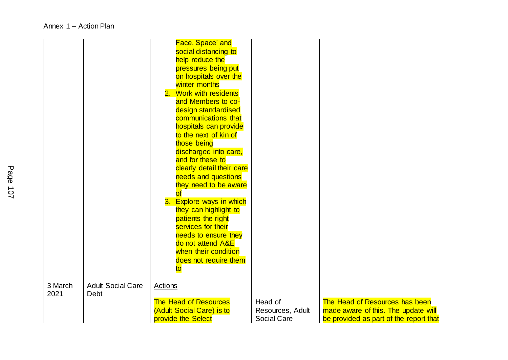|         |                          | Face. Space' and             |                    |                                        |
|---------|--------------------------|------------------------------|--------------------|----------------------------------------|
|         |                          | social distancing to         |                    |                                        |
|         |                          | help reduce the              |                    |                                        |
|         |                          | pressures being put          |                    |                                        |
|         |                          | on hospitals over the        |                    |                                        |
|         |                          | winter months                |                    |                                        |
|         |                          | 2. Work with residents       |                    |                                        |
|         |                          | and Members to co-           |                    |                                        |
|         |                          | design standardised          |                    |                                        |
|         |                          | communications that          |                    |                                        |
|         |                          | hospitals can provide        |                    |                                        |
|         |                          | to the next of kin of        |                    |                                        |
|         |                          | those being                  |                    |                                        |
|         |                          | discharged into care,        |                    |                                        |
|         |                          | and for these to             |                    |                                        |
|         |                          | clearly detail their care    |                    |                                        |
|         |                          | needs and questions          |                    |                                        |
|         |                          | they need to be aware        |                    |                                        |
|         |                          | <u>of</u>                    |                    |                                        |
|         |                          | 3. Explore ways in which     |                    |                                        |
|         |                          | they can highlight to        |                    |                                        |
|         |                          | patients the right           |                    |                                        |
|         |                          | services for their           |                    |                                        |
|         |                          | needs to ensure they         |                    |                                        |
|         |                          | do not attend A&E            |                    |                                        |
|         |                          | when their condition         |                    |                                        |
|         |                          | does not require them        |                    |                                        |
|         |                          | to                           |                    |                                        |
|         |                          |                              |                    |                                        |
| 3 March | <b>Adult Social Care</b> | Actions                      |                    |                                        |
| 2021    | Debt                     |                              |                    |                                        |
|         |                          | <b>The Head of Resources</b> | Head of            | The Head of Resources has been         |
|         |                          | (Adult Social Care) is to    | Resources, Adult   | made aware of this. The update will    |
|         |                          | provide the Select           | <b>Social Care</b> | be provided as part of the report that |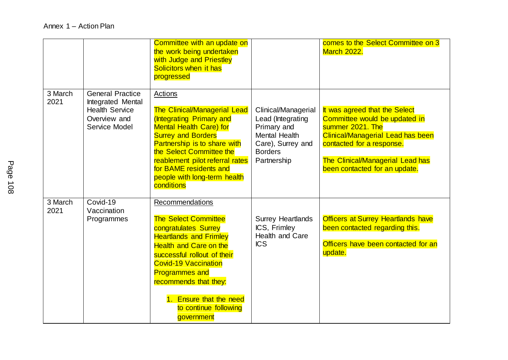|                 |                                                                                                        | Committee with an update on<br>the work being undertaken<br>with Judge and Priestley<br>Solicitors when it has<br>progressed                                                                                                                                                                                               |                                                                                                                                       | comes to the Select Committee on 3<br><b>March 2022.</b>                                                                                                                                                                         |
|-----------------|--------------------------------------------------------------------------------------------------------|----------------------------------------------------------------------------------------------------------------------------------------------------------------------------------------------------------------------------------------------------------------------------------------------------------------------------|---------------------------------------------------------------------------------------------------------------------------------------|----------------------------------------------------------------------------------------------------------------------------------------------------------------------------------------------------------------------------------|
| 3 March<br>2021 | <b>General Practice</b><br>Integrated Mental<br><b>Health Service</b><br>Overview and<br>Service Model | Actions<br><b>The Clinical/Managerial Lead</b><br>(Integrating Primary and<br><b>Mental Health Care) for</b><br><b>Surrey and Borders</b><br>Partnership is to share with<br>the Select Committee the<br>reablement pilot referral rates<br>for BAME residents and<br>people with long-term health<br>conditions           | Clinical/Managerial<br>Lead (Integrating<br>Primary and<br><b>Mental Health</b><br>Care), Surrey and<br><b>Borders</b><br>Partnership | It was agreed that the Select<br>Committee would be updated in<br>summer 2021. The<br>Clinical/Managerial Lead has been<br>contacted for a response.<br><b>The Clinical/Managerial Lead has</b><br>been contacted for an update. |
| 3 March<br>2021 | Covid-19<br>Vaccination<br>Programmes                                                                  | Recommendations<br><b>The Select Committee</b><br>congratulates Surrey<br><b>Heartlands and Frimley</b><br><b>Health and Care on the</b><br>successful rollout of their<br><b>Covid-19 Vaccination</b><br><b>Programmes and</b><br>recommends that they:<br>1. Ensure that the need<br>to continue following<br>government | <b>Surrey Heartlands</b><br>ICS, Frimley<br>Health and Care<br><b>ICS</b>                                                             | <b>Officers at Surrey Heartlands have</b><br>been contacted regarding this.<br>Officers have been contacted for an<br>update.                                                                                                    |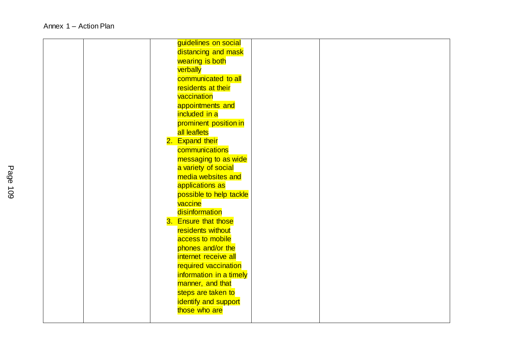|  | guidelines on social    |  |  |
|--|-------------------------|--|--|
|  | distancing and mask     |  |  |
|  | wearing is both         |  |  |
|  | verbally                |  |  |
|  | communicated to all     |  |  |
|  | residents at their      |  |  |
|  | vaccination             |  |  |
|  | appointments and        |  |  |
|  | included in a           |  |  |
|  | prominent position in   |  |  |
|  | all leaflets            |  |  |
|  | 2. Expand their         |  |  |
|  | communications          |  |  |
|  | messaging to as wide    |  |  |
|  | a variety of social     |  |  |
|  | media websites and      |  |  |
|  | applications as         |  |  |
|  | possible to help tackle |  |  |
|  | vaccine                 |  |  |
|  | disinformation          |  |  |
|  | 3. Ensure that those    |  |  |
|  | residents without       |  |  |
|  | access to mobile        |  |  |
|  | phones and/or the       |  |  |
|  | internet receive all    |  |  |
|  | required vaccination    |  |  |
|  | information in a timely |  |  |
|  | manner, and that        |  |  |
|  | steps are taken to      |  |  |
|  | identify and support    |  |  |
|  | those who are           |  |  |
|  |                         |  |  |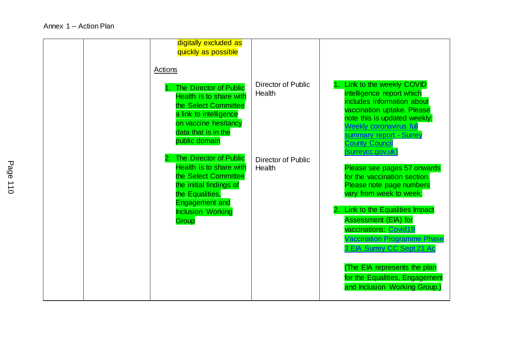| digitally excluded as<br>quickly as possible<br>Actions<br>The Director of Public<br>Health is to share with<br>the Select Committee<br>a link to intelligence<br>on vaccine hesitancy<br>data that is in the<br>public domain | <b>Director of Public</b><br>Health | Link to the weekly COVID<br>intelligence report which<br>includes information about<br>vaccination uptake. Please<br>note this is updated weekly:<br><b>Weekly coronavirus full</b><br>summary report - Surrey<br><b>County Council</b>                                                                                                                                                                    |
|--------------------------------------------------------------------------------------------------------------------------------------------------------------------------------------------------------------------------------|-------------------------------------|------------------------------------------------------------------------------------------------------------------------------------------------------------------------------------------------------------------------------------------------------------------------------------------------------------------------------------------------------------------------------------------------------------|
| The Director of Public<br>Health is to share with<br>the Select Committee<br>the initial findings of<br>the Equalities,<br><b>Engagement and</b><br><b>Inclusion Working</b><br>Group                                          | Director of Public<br>Health        | surreycc.gov.uk<br>Please see pages 57 onwards<br>for the vaccination section.<br>Please note page numbers<br>vary from week to week.<br>Link to the Equalities Impact<br>2<br><b>Assessment (EIA) for</b><br>vaccinations: Covid19<br><b>Vaccination Programme Phase</b><br>3 EIA Surrey CC Sept 21 Ac<br>(The EIA represents the plan<br>for the Equalities, Engagement<br>and Inclusion Working Group.) |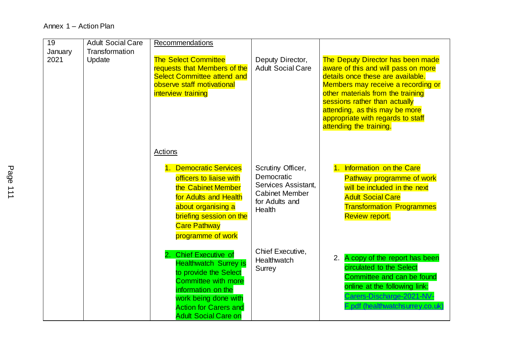## Annex 1 – Action Plan

| $\overline{19}$ | <b>Adult Social Care</b> | Recommendations                    |                          |                                          |
|-----------------|--------------------------|------------------------------------|--------------------------|------------------------------------------|
| January         | Transformation           |                                    |                          |                                          |
| 2021            | Update                   | <b>The Select Committee</b>        | Deputy Director,         | <b>The Deputy Director has been made</b> |
|                 |                          | requests that Members of the       | <b>Adult Social Care</b> | aware of this and will pass on more      |
|                 |                          | <b>Select Committee attend and</b> |                          | details once these are available.        |
|                 |                          | observe staff motivational         |                          | Members may receive a recording or       |
|                 |                          | interview training                 |                          | other materials from the training        |
|                 |                          |                                    |                          | sessions rather than actually            |
|                 |                          |                                    |                          | attending, as this may be more           |
|                 |                          |                                    |                          | appropriate with regards to staff        |
|                 |                          |                                    |                          | attending the training.                  |
|                 |                          |                                    |                          |                                          |
|                 |                          |                                    |                          |                                          |
|                 |                          | Actions                            |                          |                                          |
|                 |                          | 1. Democratic Services             | Scrutiny Officer,        | 1. Information on the Care               |
|                 |                          | officers to liaise with            | Democratic               | <b>Pathway programme of work</b>         |
|                 |                          | the Cabinet Member                 | Services Assistant,      | will be included in the next             |
|                 |                          |                                    | <b>Cabinet Member</b>    |                                          |
|                 |                          | for Adults and Health              | for Adults and           | <b>Adult Social Care</b>                 |
|                 |                          | about organising a                 | Health                   | <b>Transformation Programmes</b>         |
|                 |                          | briefing session on the            |                          | <b>Review report.</b>                    |
|                 |                          | <b>Care Pathway</b>                |                          |                                          |
|                 |                          | programme of work                  |                          |                                          |
|                 |                          |                                    |                          |                                          |
|                 |                          | <b>Chief Executive of</b><br>2.    | Chief Executive,         | A copy of the report has been<br>2.      |
|                 |                          | <b>Healthwatch Surrey is</b>       | Healthwatch              | circulated to the Select                 |
|                 |                          | to provide the Select              | <b>Surrey</b>            | Committee and can be found               |
|                 |                          | <b>Committee with more</b>         |                          |                                          |
|                 |                          | information on the                 |                          | online at the following link:            |
|                 |                          | work being done with               |                          | Carers-Discharge-2021-NV-                |
|                 |                          | <b>Action for Carers and</b>       |                          | F.pdf (healthwatchsurrey.co.uk)          |
|                 |                          | <b>Adult Social Care on</b>        |                          |                                          |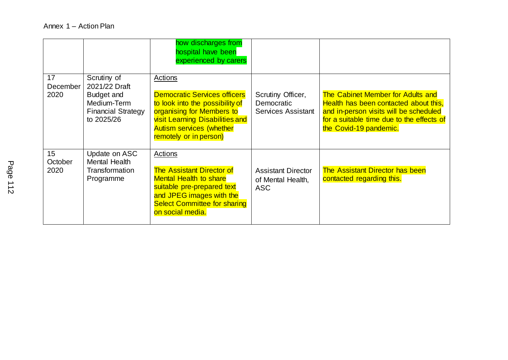|                       |                                                                             | how discharges from<br>hospital have been<br>experienced by carers                                                                                                                                         |                                                              |                                                                                                                                                                                             |
|-----------------------|-----------------------------------------------------------------------------|------------------------------------------------------------------------------------------------------------------------------------------------------------------------------------------------------------|--------------------------------------------------------------|---------------------------------------------------------------------------------------------------------------------------------------------------------------------------------------------|
| 17<br>December        | Scrutiny of<br>2021/22 Draft                                                | Actions                                                                                                                                                                                                    |                                                              |                                                                                                                                                                                             |
| 2020                  | <b>Budget and</b><br>Medium-Term<br><b>Financial Strategy</b><br>to 2025/26 | <b>Democratic Services officers</b><br>to look into the possibility of<br>organising for Members to<br><b>visit Learning Disabilities and</b><br><b>Autism services (whether</b><br>remotely or in person) | Scrutiny Officer,<br>Democratic<br><b>Services Assistant</b> | The Cabinet Member for Adults and<br>Health has been contacted about this,<br>and in-person visits will be scheduled<br>for a suitable time due to the effects of<br>the Covid-19 pandemic. |
| 15<br>October<br>2020 | Update on ASC<br>Mental Health<br>Transformation<br>Programme               | Actions<br><b>The Assistant Director of</b><br><b>Mental Health to share</b><br>suitable pre-prepared text<br>and JPEG images with the<br><b>Select Committee for sharing</b><br>on social media.          | <b>Assistant Director</b><br>of Mental Health,<br><b>ASC</b> | <b>The Assistant Director has been</b><br>contacted regarding this.                                                                                                                         |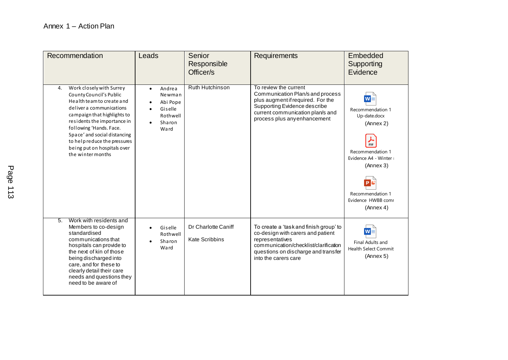| Recommendation                                                                                                                                                                                                                                                                                                                  | Leads                                                                                           | Senior<br>Responsible<br>Officer/s           | Requirements                                                                                                                                                                                           | Embedded<br>Supporting<br>Evidence                                                                                                                                                       |
|---------------------------------------------------------------------------------------------------------------------------------------------------------------------------------------------------------------------------------------------------------------------------------------------------------------------------------|-------------------------------------------------------------------------------------------------|----------------------------------------------|--------------------------------------------------------------------------------------------------------------------------------------------------------------------------------------------------------|------------------------------------------------------------------------------------------------------------------------------------------------------------------------------------------|
| Work closely with Surrey<br>4.<br>County Council's Public<br>Health team to create and<br>deliver a communications<br>campaign that highlights to<br>residents the importance in<br>following 'Hands. Face.<br>Space' and social distancing<br>to help reduce the pressures<br>being put on hospitals over<br>the winter months | Andrea<br>$\bullet$<br>Newman<br>Abi Pope<br>Giselle<br>Rothwell<br>Sharon<br>$\bullet$<br>Ward | Ruth Hutchinson                              | To review the current<br>Communication Plan/s and process<br>plus augment if required. For the<br>Supporting Evidence describe<br>current communication plan/s and<br>process plus any enhancement     | $W =$<br>Recommendation 1<br>Up-date.docx<br>(Annex 2)<br>⅄<br>PDF<br>Recommendation 1<br>Evidence A4 - Winter<br>(Annex 3)<br>PL<br>Recommendation 1<br>Evidence HWBB comr<br>(Annex 4) |
| Work with residents and<br>5.<br>Members to co-design<br>standardised<br>communications that<br>hospitals can provide to<br>the next of kin of those<br>being discharged into<br>care, and for these to<br>clearly detail their care<br>needs and questions they<br>need to be aware of                                         | Giselle<br>$\bullet$<br>Rothwell<br>Sharon<br>Ward                                              | Dr Charlotte Caniff<br><b>Kate Scribbins</b> | To create a 'task and finish group' to<br>co-design with carers and patient<br>representatives<br>communication/checklist/clarification<br>questions on discharge and transfer<br>into the carers care | W<br>Final Adults and<br><b>Health Select Commit</b><br>(Annex 5)                                                                                                                        |